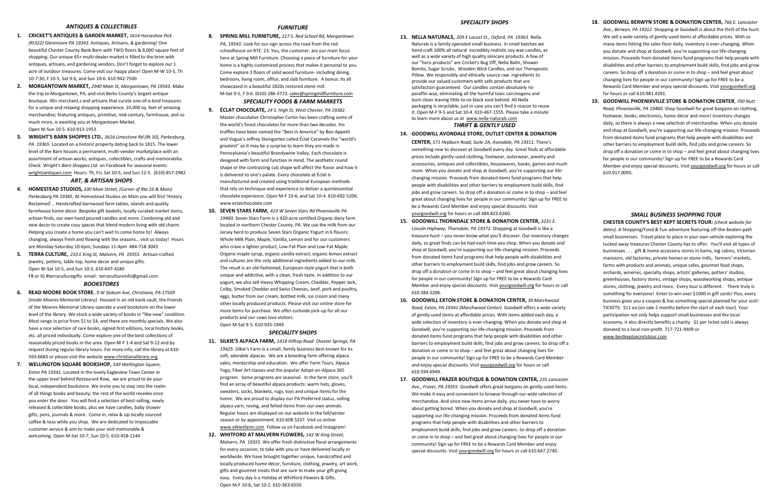#### *ANTIQUES & COLLECTIBLES*

- **1. CRICKET'S ANTIQUES & GARDEN MARKET,** *1614 Horseshoe Pick (Rt322) Glenmoore PA 19343.* Antiques, Artisans, & gardening! One beautiful Chester County Bank Barn with TWO floors & 8,000 square feet of shopping. Our unique 65+ multi-dealer market is filled to the brim with antiques, artisans, and gardening vendors. Don't forget to explore our 1 acre of outdoor treasures. Come visit our happy place! Open M-W 10-5, Th 10-7:30, F 10-5, Sat 9-6, and Sun 10-6. 610-942-7500
- **2. MORGANTOWN MARKET,** *2940 Main St, Morgantown, PA 19543.* Make the trip to Morgantown, PA, and visit Berks County's largest antique boutique. 90+ merchant,s and artisans that curate one-of-a-kind treasures for a unique and relaxing shopping experience. 10,000 sq. feet of amazing merchandise; featuring antiques, primitive, mid-century, farmhouse, and so much more, is awaiting you at Morgantown Market. Open M-Sun 10-5. 610-913-1953.
- **3. WRIGHT'S BARN SHOPPES LTD.**, *3616 Limestone Rd (Rt 10), Parkesburg, PA 19365.* Located on a historic property dating back to 1815. The lower level of the Barn houses a permanent, multi-vendor marketplace with an assortment of artisan works, antiques, collectibles, crafts and memorabilia. Check *Wright's Barn Shoppes Ltd.* on Facebook for seasonal events. wrightsantiques.com Hours: Th, Fri, Sat 10-5, and Sun 12-5. (610)-857-2982

#### *ART, & ARTISAN SHOPS*

- **4. HOMESTEAD STUDIOS,** *100 Main Street, (Corner of Rte.10 & Main) Parkesburg PA 19365.* At Homestead Studios on Main you will find 'History Reclaimed'… Handcrafted barnwood farm tables, islands and quality farmhouse home decor. Bespoke gift baskets, locally curated market items, artisan finds, our own hand poured candles and more. Combining old and new decor to create cozy spaces that blend modern living with old charm. Helping you create a home you can't wait to come home to! Always changing, always fresh and flowing with the seasons… visit us today! Hours are Monday-Saturday 10-6pm, Sundays 11-4pm 484-718-3043
- **5. TERRA CULTURE,** *233 E King St, Malvern, PA 19355*. Artisan-crafted jewelry, pottery, table top, home decor and unique gifts. Open W-Sat 10-5, and Sun 10-3, 610-647-4180 FB or IG #terraculturegifts email: terracultureinfo@gmail.com

#### *BOOKSTORES*

- **6. READ MOORE BOOK STORE**, *9 W Slokom Ave, Christiana, PA 17509 (inside Moores Memorial Library).* Housed in an old bank vault, the Friends of the Moores Memorial Library operate a used bookstore on the lower level of the library. We stock a wide variety of books in "like new" condition. Most range in price from \$1 to \$4, and there are monthly specials. We also have a nice selection of rare books, signed first editions, local history books, etc. all priced individually. Come explore one of the best collections of reasonably priced books in the area. Open M-F 1-4 and Sat 9-12 and by request during regular library hours. For more info, call the library at 610- 593-6683 or please visit the website www.christianalibrary.org
- **7. WELLINGTON SQUARE BOOKSHOP,** *549 Wellington Square, Exton PA 19341.* Located in the lovely Eagleview Town Center in the upper level behind Restaurant Row, we are proud to be your local, independent bookstore. We invite you to step into the realm of all things books and beauty; the rest of the world recedes once you enter the door. You will find a selection of best-selling, newly released & collectible books, plus we have candles, baby shower gifts, pens, journals & more. Come in, relax & sip locally sourced coffee & teas while you shop. We are dedicated to impeccable customer service & aim to make your visit memorable & welcoming. Open M-Sat 10-7, Sun 10-5. 610-458-1144

#### *FURNITURE*

**8. SPRING MILL FURNITURE,** *217 S. Red School Rd, Morgantown PA, 19543*. Look for our sign across the road from the red schoolhouse on RTE. 23. You, the customer, are our main focus here at Spring Mill Furniture. Choosing a piece of furniture for your home is a highly customized process that makes it personal to you. Come explore 3 floors of solid wood furniture- including dining, bedroom, living room, office, and slab furniture. A bonus: its all showcased in a beautiful 1820s restored stone mill. M-Sat 9-5, F 9-6. (610)-286-3773. sales@springmillfurniture.com

## *SPECIALITY FOODS & FARM MARKETS*

- **9. ÉCLAT CHOCOLATE,** *24 S. High St, West Chester, PA 19382*. Master chocolatier Christopher Curtin has been crafting some of the world's finest chocolates for more than two decades. His truffles have been named the "Best in America" by Bon Appetit and Vogue's Jeffrey Steingarten called Éclat Caramels the "world's greatest" so it may be a surprise to learn they are made in Pennsylvania's beautiful Brandywine Valley. Each chocolate is designed with form and function in mind. The aesthetic round shape or the contrasting cub shape will affect the flavor and how it is delivered to one's palate. Every chocolate at Éclat is manufactured and created using traditional European methods that rely on technique and experience to deliver a quintessential chocolate experience. Open M-F 10-6, and Sat 10-4. 610-692-5206. www.eclatchocolate.com
- **10. SEVEN STARS FARM,** *419 W Seven Stars Rd Phoenixville PA 19460.* Seven Stars Farm is a 420-acre certified Organic dairy farm located in northern Chester County, PA. We use the milk from our Jersey herd to produce Seven Stars Organic Yogurt in 6 flavors: Whole Milk Plain, Maple, Vanilla, Lemon and for our customers who crave a lighter product, Low-Fat Plain and Low-Fat Maple. Organic maple syrup, organic vanilla extract, organic lemon extract and cultures are the only additional ingredients added to our milk. The result is an old-fashioned, European-style yogurt that is both unique and addictive, with a clean, fresh taste. In addition to our yogurt, we also sell Heavy Whipping Cream, Cheddar, Pepper Jack, Colby, Smoked Cheddar and Swiss Cheeses, beef, pork and poultry, eggs, butter from our cream, bottled milk, ice cream and many other locally produced products. Please visit our online store for more items for purchase. We offer curbside pick-up for all our products and our cows love visitors. Open M-Sat 9-5. 610-935-1949

#### *SPECIALITY SHOPS*

- **11. SILKIE'S ALPACA FARM,** *1418 Hilltop Road Chester Springs, PA 19425*. Silkie's Farm is a small, family business best known for its soft, adorable alpacas. We are a breeding farm offering alpaca sales, mentorship and education. We offer Farm Tours, Alpaca Yoga, Fiber Art classes and the popular Adopt-an-Alpaca 365 program. Some programs are seasonal. In the farm store, you'll find an array of beautiful alpaca products: warm hats, gloves, sweaters, socks, blankets, rugs, toys and unique items for the home. We are proud to display our PA Preferred status, selling alpaca yarn, roving, and felted items from our own animals. Regular hours are displayed on our website in the fall/winter season or by appointment. 610.608.5337. Visit us online www.silkiesfarm.com Follow us on Facebook and Instagram!
- **12. WHITFORD AT MALVERN FLOWERS,** *142 W King Street, Malvern, PA 19355*. We offer fresh distinctive floral arrangements for every occasion, to take with you or have delivered locally or worldwide. We have brought together unique, handcrafted and locally produced home décor, furniture, clothing, jewelry, art work, gifts and gourmet treats that are sure to make your gift giving easy. Every day is a Holiday at Whitford Flowers & Gifts. Open M-F 10-6, Sat 10-2. 610-363-6550

#### *SPECIALITY SHOPS*

**13. NELLA NATURALS**, *209 E Locust St., Oxford, PA 19363*. Nella Naturals is a family operated small business. In small batches we hand craft 100% all natural incredibly realistic soy wax candles, as well as a wide variety of high quality skincare products. A few of our "hero products" are Cricket's Bug Off, Nella Balm, Shower Bombs, Sugar Scrubs, Wooden Wick Candles, and our Therapeutic Pillow. We responsibly and ethically source raw ingredients to provide our valued customers with safe products that are satisfaction guaranteed. Our candles contain absolutely no paraffin wax, eliminating all the harmful toxic carcinogens and burn clean leaving little to no black soot behind. All Nella packaging is recyclable, just in case you can't find a reason to reuse it. Open M-F 9-5 and Sat 10-4. 610-467-1555. Please take a minute to learn more about us at www.nella-naturals.com *THRIFT & GENTLY USED*

#### **14. GOODWILL AVONDALE STORE, OUTLET CENTER & DONATION**

**CENTER,** *571 Hepburn Road, Suite 2A, Avondale, PA 19311.* There's something new to discover at Goodwill every day. Great finds at affordable prices include gently-used clothing, footwear, outerwear, jewelry and accessories, antiques and collectibles, housewares, books, games and much more. When you donate and shop at Goodwill, you're supporting our lifechanging mission. Proceeds from donated items fund programs that help people with disabilities and other barriers to employment build skills, find jobs and grow careers. So drop off a donation or come in to shop – and feel great about changing lives for people in our community! Sign up for FREE to be a Rewards Card Member and enjoy special discounts. Visit yourgoodwill.org for hours or call 484.823.6260.

- **15. GOODWILL THORNDALE STORE & DONATION CENTER,** *3231 E. Lincoln Highway, Thorndale, PA 19372*. Shopping at Goodwill is like a treasure hunt – you never know what you'll discover. Our inventory changes daily, so great finds can be had each time you shop. When you donate and shop at Goodwill, you're supporting our life-changing mission. Proceeds from donated items fund programs that help people with disabilities and other barriers to employment build skills, find jobs and grow careers. So drop off a donation or come in to shop – and feel great about changing lives for people in our community! Sign up for FREE to be a Rewards Card Member and enjoy special discounts. Visit yourgoodwill.org for hours or call 610.384.3206.
- **16. GOODWILL EXTON STORE & DONATION CENTER,** *39 Marchwood Road, Exton, PA 19341 (Marchwood Center).* Goodwill offers a wide variety of gently-used items at affordable prices. With items added each day, a wide selection of inventory is ever-changing. When you donate and shop at Goodwill, you're supporting our life-changing mission. Proceeds from donated items fund programs that help people with disabilities and other barriers to employment build skills, find jobs and grow careers. So drop off a donation or come in to shop – and feel great about changing lives for people in our community! Sign up for FREE to be a Rewards Card Member and enjoy special discounts. Visit yourgoodwill.org for hours or call 610.594.6949.
- **17. GOODWILL FRAZER BOUTIQUE & DONATION CENTER,** *235 Lancaster Ave., Frazer, PA 19355*. Goodwill offers great bargains on gently-used items. We make it easy and convenient to browse through our wide selection of merchandise. And since new items arrive daily, you never have to worry about getting bored. When you donate and shop at Goodwill, you're supporting our life-changing mission. Proceeds from donated items fund programs that help people with disabilities and other barriers to employment build skills, find jobs and grow careers. So drop off a donation or come in to shop – and feel great about changing lives for people in our community! Sign up for FREE to be a Rewards Card Member and enjoy special discounts. Visit yourgoodwill.org for hours or call 610.647.2740.
- **18. GOODWILL BERWYN STORE & DONATION CENTER,** *766 E. Lancaster Ave., Berwyn, PA 19312*. Shopping at Goodwill is about the thrill of the hunt. We sell a wide variety of gently-used items at affordable prices. With so many items hitting the sales floor daily, inventory is ever-changing. When you donate and shop at Goodwill, you're supporting our life-changing mission. Proceeds from donated items fund programs that help people with disabilities and other barriers to employment build skills, find jobs and grow careers. So drop off a donation or come in to shop – and feel great about changing lives for people in our community! Sign up for FREE to be a Rewards Card Member and enjoy special discounts. Visit yourgoodwill.org for hours or call 610.981.4391.
- **19. GOODWILL PHOENIXVILLE STORE & DONATION CENTER**, *700 Nutt Road, Phoenixville, PA 19460.* Shop Goodwill for great bargains on clothing, footwear, books, electronics, home décor and more! Inventory changes daily, so there is always a new selection of merchandise. When you donate and shop at Goodwill, you're supporting our life-changing mission. Proceeds from donated items fund programs that help people with disabilities and other barriers to employment build skills, find jobs and grow careers. So drop off a donation or come in to shop – and feel great about changing lives for people in our community! Sign up for FREE to be a Rewards Card Member and enjoy special discounts. Visit yourgoodwill.org for hours or call 610.917.0095.

#### *SMALL BUSINESS SHOPPING TOUR*

**CHESTER COUNTY'S BEST KEPT SECRETS TOUR:** *(check website for dates).* A Shopping/Food & Fun adventure featuring off-the-beaten-path small businesses. Travel place to place in your own vehicle exploring the tucked away treasures Chester County has to offer. You'll visit all types of businesses . . . gift & home accessory stores in barns, log cabins, Victorian mansions, old factories, private homes or stone mills, farmers' markets, farms with products and animals, unique cafes, gourmet food shops, orchards, wineries, specialty shops, artists' galleries, potters' studios, greenhouses, factory stores, vintage shops, woodworking shops, antique stores, clothing, jewelry and more. Every tour is different. There truly is something for everyone! Enter to win over \$1000 in gift cards! Plus, every business gives you a coupon & has something special planned for your visit! TICKETS: \$11 ea (on sale 2 months before the start of each tour). Your participation not only helps support small businesses and the local economy, it also directly benefits a charity. \$1 per ticket sold is always donated to a local non-profit. 717-721-9409 or www.bestkeptsecretstour.com